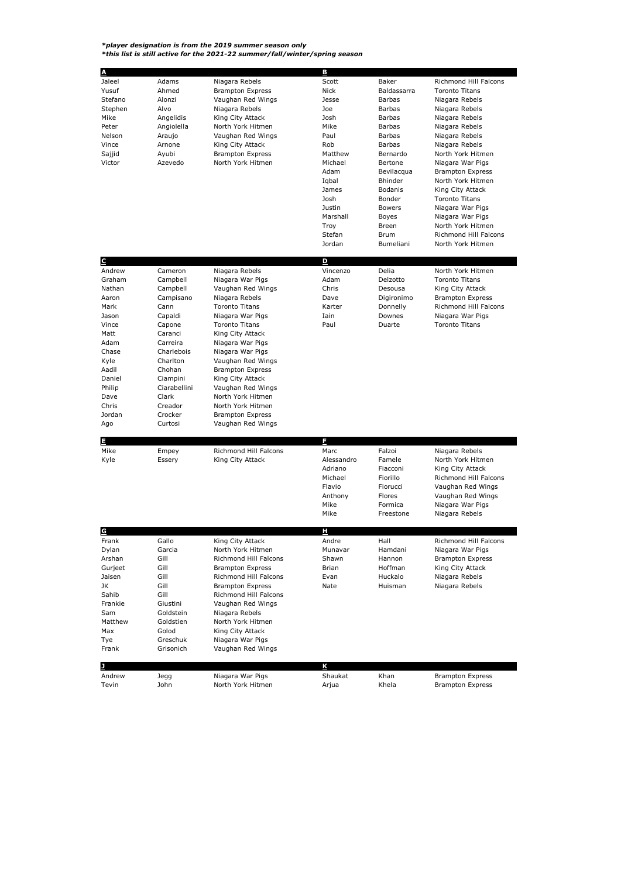*\*player designation is from the 2019 summer season only \*this list is still active for the 2021-22 summer/fall/winter/spring season*

| A                 |                    |                                                  | B                     |                     |                                             |
|-------------------|--------------------|--------------------------------------------------|-----------------------|---------------------|---------------------------------------------|
| Jaleel            | Adams              | Niagara Rebels                                   | Scott                 | Baker               | Richmond Hill Falcons                       |
| Yusuf             | Ahmed              | <b>Brampton Express</b>                          | Nick                  | Baldassarra         | <b>Toronto Titans</b>                       |
| Stefano           | Alonzi             | Vaughan Red Wings                                | Jesse                 | Barbas              | Niagara Rebels                              |
| Stephen           | Alvo               | Niagara Rebels                                   | Joe                   | Barbas              | Niagara Rebels                              |
| Mike              | Angelidis          | King City Attack                                 | Josh                  | <b>Barbas</b>       | Niagara Rebels                              |
| Peter             | Angiolella         | North York Hitmen                                | Mike                  | <b>Barbas</b>       | Niagara Rebels                              |
| Nelson            | Araujo             | Vaughan Red Wings                                | Paul                  | <b>Barbas</b>       | Niagara Rebels                              |
| Vince             | Arnone             | King City Attack                                 | Rob                   | Barbas              | Niagara Rebels                              |
| Sajjid<br>Victor  | Ayubi<br>Azevedo   | <b>Brampton Express</b><br>North York Hitmen     | Matthew<br>Michael    | Bernardo<br>Bertone | North York Hitmen                           |
|                   |                    |                                                  | Adam                  | Bevilacqua          | Niagara War Pigs<br><b>Brampton Express</b> |
|                   |                    |                                                  | Iqbal                 | <b>Bhinder</b>      | North York Hitmen                           |
|                   |                    |                                                  | James                 | <b>Bodanis</b>      | King City Attack                            |
|                   |                    |                                                  | Josh                  | Bonder              | <b>Toronto Titans</b>                       |
|                   |                    |                                                  | Justin                | Bowers              | Niagara War Pigs                            |
|                   |                    |                                                  | Marshall              | Boyes               | Niagara War Pigs                            |
|                   |                    |                                                  | Troy                  | Breen               | North York Hitmen                           |
|                   |                    |                                                  | Stefan                | Brum                | <b>Richmond Hill Falcons</b>                |
|                   |                    |                                                  | Jordan                | Bumeliani           | North York Hitmen                           |
|                   |                    |                                                  |                       |                     |                                             |
| C<br>Andrew       | Cameron            | Niagara Rebels                                   | D<br>Vincenzo         | Delia               | North York Hitmen                           |
| Graham            | Campbell           | Niagara War Pigs                                 | Adam                  | Delzotto            | <b>Toronto Titans</b>                       |
| Nathan            | Campbell           | Vaughan Red Wings                                | Chris                 | Desousa             | King City Attack                            |
| Aaron             | Campisano          | Niagara Rebels                                   | Dave                  | Digironimo          | <b>Brampton Express</b>                     |
| Mark              | Cann               | <b>Toronto Titans</b>                            | Karter                | Donnelly            | <b>Richmond Hill Falcons</b>                |
| Jason             | Capaldi            | Niagara War Pigs                                 | Iain                  | Downes              | Niagara War Pigs                            |
| Vince             | Capone             | <b>Toronto Titans</b>                            | Paul                  | Duarte              | <b>Toronto Titans</b>                       |
| Matt              | Caranci            | King City Attack                                 |                       |                     |                                             |
| Adam              | Carreira           | Niagara War Pigs                                 |                       |                     |                                             |
| Chase             | Charlebois         | Niagara War Pigs                                 |                       |                     |                                             |
| Kyle<br>Aadil     | Charlton           | Vaughan Red Wings<br><b>Brampton Express</b>     |                       |                     |                                             |
| Daniel            | Chohan<br>Ciampini | King City Attack                                 |                       |                     |                                             |
| Philip            | Ciarabellini       | Vaughan Red Wings                                |                       |                     |                                             |
| Dave              | Clark              | North York Hitmen                                |                       |                     |                                             |
| Chris             | Creador            | North York Hitmen                                |                       |                     |                                             |
| Jordan            | Crocker            | <b>Brampton Express</b>                          |                       |                     |                                             |
| Ago               | Curtosi            | Vaughan Red Wings                                |                       |                     |                                             |
|                   |                    |                                                  |                       |                     |                                             |
| щ                 |                    |                                                  | E                     |                     |                                             |
| Mike              | Empey              | Richmond Hill Falcons                            | Marc                  | Falzoi              | Niagara Rebels                              |
| Kyle              | Essery             | King City Attack                                 | Alessandro<br>Adriano | Famele<br>Fiacconi  | North York Hitmen<br>King City Attack       |
|                   |                    |                                                  | Michael               | Fiorillo            | Richmond Hill Falcons                       |
|                   |                    |                                                  | Flavio                | Fiorucci            | Vaughan Red Wings                           |
|                   |                    |                                                  | Anthony               | Flores              | Vaughan Red Wings                           |
|                   |                    |                                                  | Mike                  | Formica             | Niagara War Pigs                            |
|                   |                    |                                                  | Mike                  | Freestone           | Niagara Rebels                              |
|                   |                    |                                                  |                       |                     |                                             |
| G                 |                    |                                                  | н                     |                     |                                             |
| Frank<br>Dylan    | Gallo              | King City Attack                                 | Andre                 | Hall                | Richmond Hill Falcons                       |
|                   | Garcia<br>Gill     | North York Hitmen                                | Munavar               | Hamdani             | Niagara War Pigs                            |
| Arshan<br>Gurieet | Gill               | Richmond Hill Falcons<br><b>Brampton Express</b> | Shawn<br>Brian        | Hannon<br>Hoffman   | <b>Brampton Express</b><br>King City Attack |
| Jaisen            | Gill               | Richmond Hill Falcons                            | Evan                  | Huckalo             | Niagara Rebels                              |
| JK                | Gill               | <b>Brampton Express</b>                          | Nate                  | Huisman             | Niagara Rebels                              |
| Sahib             | Gill               | Richmond Hill Falcons                            |                       |                     |                                             |
| Frankie           | Giustini           | Vaughan Red Wings                                |                       |                     |                                             |
| Sam               | Goldstein          | Niagara Rebels                                   |                       |                     |                                             |
| Matthew           | Goldstien          | North York Hitmen                                |                       |                     |                                             |
| Max               | Golod              | King City Attack                                 |                       |                     |                                             |
| Tye               | Greschuk           | Niagara War Pigs                                 |                       |                     |                                             |
| Frank             | Grisonich          | Vaughan Red Wings                                |                       |                     |                                             |
| л                 |                    |                                                  | ĸ                     |                     |                                             |
| Andrew            | Jegg               | Niagara War Pigs                                 | Shaukat               | Khan                | <b>Brampton Express</b>                     |
| Tevin             | John               | North York Hitmen                                | Arjua                 | Khela               | <b>Brampton Express</b>                     |
|                   |                    |                                                  |                       |                     |                                             |